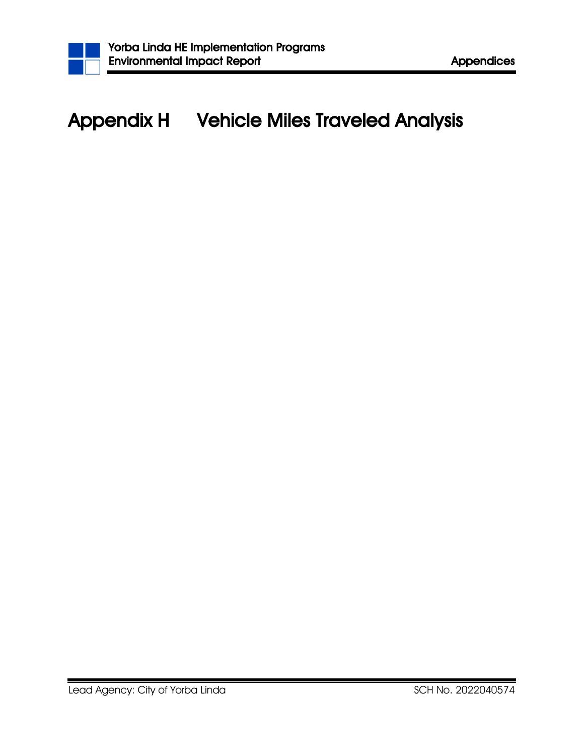

## Appendix H Vehicle Miles Traveled Analysis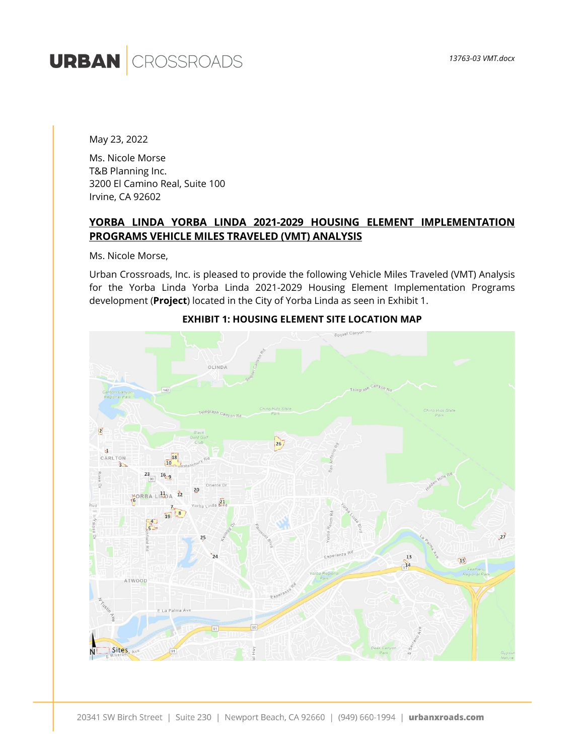# **URBAN** CROSSROADS

May 23, 2022

Ms. Nicole Morse T&B Planning Inc. 3200 El Camino Real, Suite 100 Irvine, CA 92602

## **YORBA LINDA YORBA LINDA 2021-2029 HOUSING ELEMENT IMPLEMENTATION PROGRAMS VEHICLE MILES TRAVELED (VMT) ANALYSIS**

Ms. Nicole Morse,

Urban Crossroads, Inc. is pleased to provide the following Vehicle Miles Traveled (VMT) Analysis for the Yorba Linda Yorba Linda 2021-2029 Housing Element Implementation Programs development (**Project**) located in the City of Yorba Linda as seen in Exhibit 1.



#### **EXHIBIT 1: HOUSING ELEMENT SITE LOCATION MAP**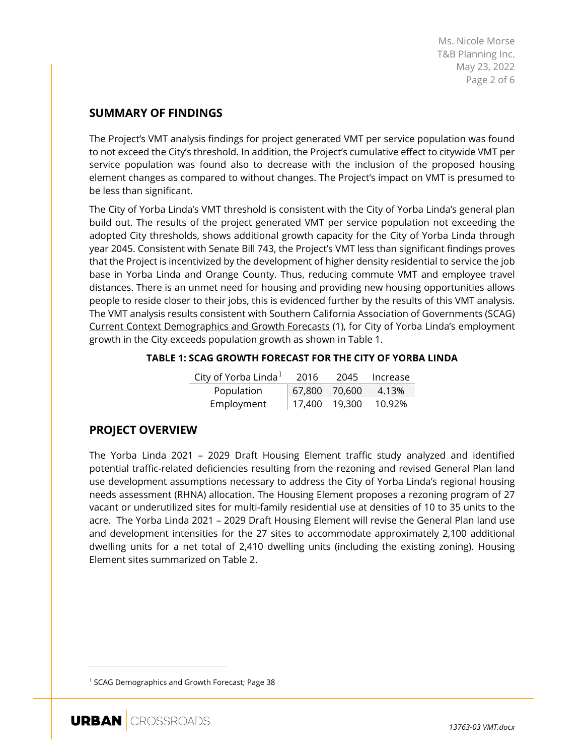Ms. Nicole Morse T&B Planning Inc. May 23, 2022 Page 2 of 6

## **SUMMARY OF FINDINGS**

The Project's VMT analysis findings for project generated VMT per service population was found to not exceed the City's threshold. In addition, the Project's cumulative effect to citywide VMT per service population was found also to decrease with the inclusion of the proposed housing element changes as compared to without changes. The Project's impact on VMT is presumed to be less than significant.

The City of Yorba Linda's VMT threshold is consistent with the City of Yorba Linda's general plan build out. The results of the project generated VMT per service population not exceeding the adopted City thresholds, shows additional growth capacity for the City of Yorba Linda through year 2045. Consistent with Senate Bill 743, the Project's VMT less than significant findings proves that the Project is incentivized by the development of higher density residential to service the job base in Yorba Linda and Orange County. Thus, reducing commute VMT and employee travel distances. There is an unmet need for housing and providing new housing opportunities allows people to reside closer to their jobs, this is evidenced further by the results of this VMT analysis. The VMT analysis results consistent with Southern California Association of Governments (SCAG) Current Context Demographics and Growth Forecasts (1), for City of Yorba Linda's employment growth in the City exceeds population growth as shown in Table 1.

#### **TABLE 1: SCAG GROWTH FORECAST FOR THE CITY OF YORBA LINDA**

| City of Yorba Linda <sup>1</sup> | 2016            | 2045 Increase |
|----------------------------------|-----------------|---------------|
| Population                       | 67,800 70,600   | 4.13%         |
| Employment                       | $17,400$ 19,300 | 10.92%        |

## **PROJECT OVERVIEW**

The Yorba Linda 2021 – 2029 Draft Housing Element traffic study analyzed and identified potential traffic-related deficiencies resulting from the rezoning and revised General Plan land use development assumptions necessary to address the City of Yorba Linda's regional housing needs assessment (RHNA) allocation. The Housing Element proposes a rezoning program of 27 vacant or underutilized sites for multi-family residential use at densities of 10 to 35 units to the acre. The Yorba Linda 2021 – 2029 Draft Housing Element will revise the General Plan land use and development intensities for the 27 sites to accommodate approximately 2,100 additional dwelling units for a net total of 2,410 dwelling units (including the existing zoning). Housing Element sites summarized on Table 2.

<span id="page-2-0"></span><sup>&</sup>lt;sup>1</sup> SCAG Demographics and Growth Forecast; Page 38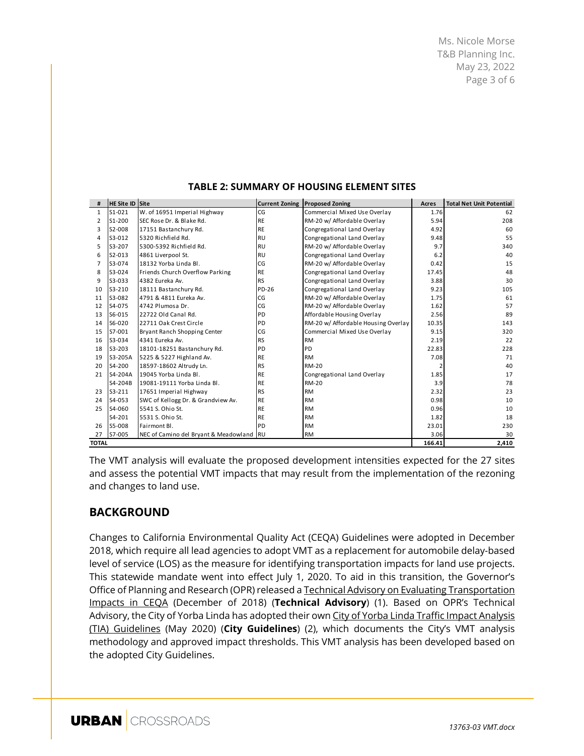Ms. Nicole Morse T&B Planning Inc. May 23, 2022 Page 3 of 6

| #              | <b>HE Site ID Siite</b> |                                          | <b>Current Zoning</b> | <b>Proposed Zoning</b>              | Acres  | <b>Total Net Unit Potential</b> |
|----------------|-------------------------|------------------------------------------|-----------------------|-------------------------------------|--------|---------------------------------|
| $\mathbf{1}$   | $S1 - 021$              | W. of 16951 Imperial Highway             | CG                    | Commercial Mixed Use Overlay        | 1.76   | 62                              |
| $\overline{2}$ | $S1 - 200$              | SEC Rose Dr. & Blake Rd.                 | <b>RE</b>             | RM-20 w/ Affordable Overlay         | 5.94   | 208                             |
| 3              | S2-008                  | 17151 Bastanchury Rd.                    | <b>RE</b>             | Congregational Land Overlay         | 4.92   | 60                              |
| 4              | S3-012                  | 5320 Richfield Rd.                       | <b>RU</b>             | Congregational Land Overlay         | 9.48   | 55                              |
| 5              | S3-207                  | 5300-5392 Richfield Rd.                  | <b>RU</b>             | RM-20 w/ Affordable Overlay         | 9.7    | 340                             |
| 6              | $S2 - 013$              | 4861 Liverpool St.                       | <b>RU</b>             | Congregational Land Overlay         | 6.2    | 40                              |
| 7              | S3-074                  | 18132 Yorba Linda Bl.                    | CG                    | RM-20 w/ Affordable Overlay         | 0.42   | 15                              |
| 8              | S3-024                  | Friends Church Overflow Parking          | <b>RE</b>             | Congregational Land Overlay         | 17.45  | 48                              |
| 9              | S3-033                  | 4382 Eureka Av.                          | <b>RS</b>             | Congregational Land Overlay         | 3.88   | 30                              |
| 10             | S3-210                  | 18111 Bastanchury Rd.                    | PD-26                 | Congregational Land Overlay         | 9.23   | 105                             |
| 11             | S3-082                  | 4791 & 4811 Eureka Av.                   | CG                    | RM-20 w/ Affordable Overlay         | 1.75   | 61                              |
| 12             | S4-075                  | 4742 Plumosa Dr.                         | CG                    | RM-20 w/ Affordable Overlay         | 1.62   | 57                              |
| 13             | S6-015                  | 22722 Old Canal Rd.                      | <b>PD</b>             | Affordable Housing Overlay          | 2.56   | 89                              |
| 14             | S6-020                  | 22711 Oak Crest Circle                   | PD                    | RM-20 w/ Affordable Housing Overlay | 10.35  | 143                             |
| 15             | S7-001                  | Bryant Ranch Shopping Center             | CG                    | Commercial Mixed Use Overlay        | 9.15   | 320                             |
| 16             | S3-034                  | 4341 Eureka Av.                          | <b>RS</b>             | <b>RM</b>                           | 2.19   | 22                              |
| 18             | S3-203                  | 18101-18251 Bastanchury Rd.              | PD                    | PD                                  | 22.83  | 228                             |
| 19             | S3-205A                 | 5225 & 5227 Highland Av.                 | <b>RE</b>             | <b>RM</b>                           | 7.08   | 71                              |
| 20             | S4-200                  | 18597-18602 Altrudy Ln.                  | <b>RS</b>             | RM-20                               |        | 40                              |
| 21             | S4-204A                 | 19045 Yorba Linda Bl.                    | <b>RE</b>             | Congregational Land Overlay         | 1.85   | 17                              |
|                | S4-204B                 | 19081-19111 Yorba Linda Bl.              | <b>RE</b>             | RM-20                               | 3.9    | 78                              |
| 23             | $S3 - 211$              | 17651 Imperial Highway                   | <b>RS</b>             | <b>RM</b>                           | 2.32   | 23                              |
| 24             | S4-053                  | SWC of Kellogg Dr. & Grandview Av.       | <b>RE</b>             | <b>RM</b>                           | 0.98   | 10                              |
| 25             | S4-060                  | 5541 S. Ohio St.                         | <b>RE</b>             | <b>RM</b>                           | 0.96   | 10                              |
|                | S4-201                  | 5531 S. Ohio St.                         | <b>RE</b>             | <b>RM</b>                           | 1.82   | 18                              |
| 26             | S5-008                  | Fairmont Bl.                             | PD                    | <b>RM</b>                           | 23.01  | 230                             |
| 27             | S7-005                  | NEC of Camino del Bryant & Meadowland RU |                       | <b>RM</b>                           | 3.06   | 30                              |
| <b>TOTAL</b>   |                         |                                          |                       |                                     | 166.41 | 2,410                           |

#### **TABLE 2: SUMMARY OF HOUSING ELEMENT SITES**

The VMT analysis will evaluate the proposed development intensities expected for the 27 sites and assess the potential VMT impacts that may result from the implementation of the rezoning and changes to land use.

## **BACKGROUND**

Changes to California Environmental Quality Act (CEQA) Guidelines were adopted in December 2018, which require all lead agencies to adopt VMT as a replacement for automobile delay-based level of service (LOS) as the measure for identifying transportation impacts for land use projects. This statewide mandate went into effect July 1, 2020. To aid in this transition, the Governor's Office of Planning and Research (OPR) released a **Technical Advisory on Evaluating Transportation** Impacts in CEQA (December of 2018) (**Technical Advisory**) (1). Based on OPR's Technical Advisory, the City of Yorba Linda has adopted their own City of Yorba Linda Traffic Impact Analysis (TIA) Guidelines (May 2020) (**City Guidelines**) (2), which documents the City's VMT analysis methodology and approved impact thresholds. This VMT analysis has been developed based on the adopted City Guidelines.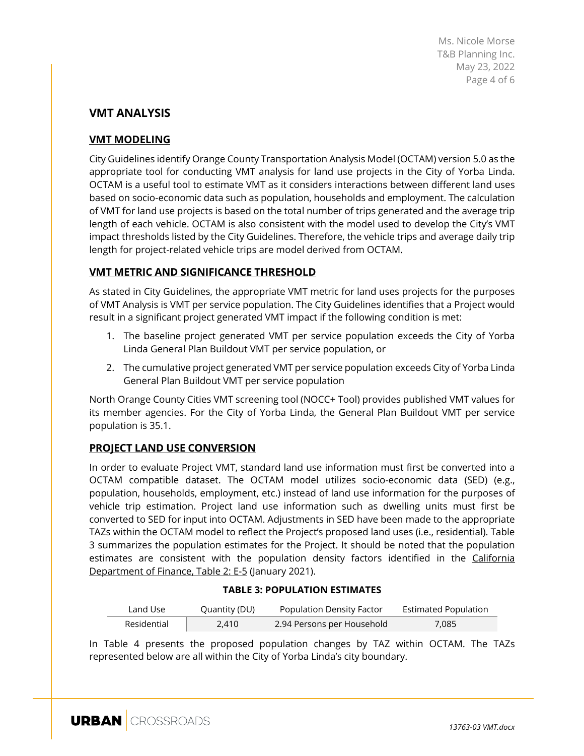Ms. Nicole Morse T&B Planning Inc. May 23, 2022 Page 4 of 6

## **VMT ANALYSIS**

## **VMT MODELING**

City Guidelines identify Orange County Transportation Analysis Model (OCTAM) version 5.0 as the appropriate tool for conducting VMT analysis for land use projects in the City of Yorba Linda. OCTAM is a useful tool to estimate VMT as it considers interactions between different land uses based on socio-economic data such as population, households and employment. The calculation of VMT for land use projects is based on the total number of trips generated and the average trip length of each vehicle. OCTAM is also consistent with the model used to develop the City's VMT impact thresholds listed by the City Guidelines. Therefore, the vehicle trips and average daily trip length for project-related vehicle trips are model derived from OCTAM.

### **VMT METRIC AND SIGNIFICANCE THRESHOLD**

As stated in City Guidelines, the appropriate VMT metric for land uses projects for the purposes of VMT Analysis is VMT per service population. The City Guidelines identifies that a Project would result in a significant project generated VMT impact if the following condition is met:

- 1. The baseline project generated VMT per service population exceeds the City of Yorba Linda General Plan Buildout VMT per service population, or
- 2. The cumulative project generated VMT per service population exceeds City of Yorba Linda General Plan Buildout VMT per service population

North Orange County Cities VMT screening tool (NOCC+ Tool) provides published VMT values for its member agencies. For the City of Yorba Linda, the General Plan Buildout VMT per service population is 35.1.

#### **PROJECT LAND USE CONVERSION**

In order to evaluate Project VMT, standard land use information must first be converted into a OCTAM compatible dataset. The OCTAM model utilizes socio-economic data (SED) (e.g., population, households, employment, etc.) instead of land use information for the purposes of vehicle trip estimation. Project land use information such as dwelling units must first be converted to SED for input into OCTAM. Adjustments in SED have been made to the appropriate TAZs within the OCTAM model to reflect the Project's proposed land uses (i.e., residential). Table 3 summarizes the population estimates for the Project. It should be noted that the population estimates are consistent with the population density factors identified in the California Department of Finance, Table 2: E-5 (January 2021).

#### **TABLE 3: POPULATION ESTIMATES**

| Land Use    | Quantity (DU) | Population Density Factor  | <b>Estimated Population</b> |
|-------------|---------------|----------------------------|-----------------------------|
| Residential | 2.410         | 2.94 Persons per Household | 7,085                       |

In Table 4 presents the proposed population changes by TAZ within OCTAM. The TAZs represented below are all within the City of Yorba Linda's city boundary.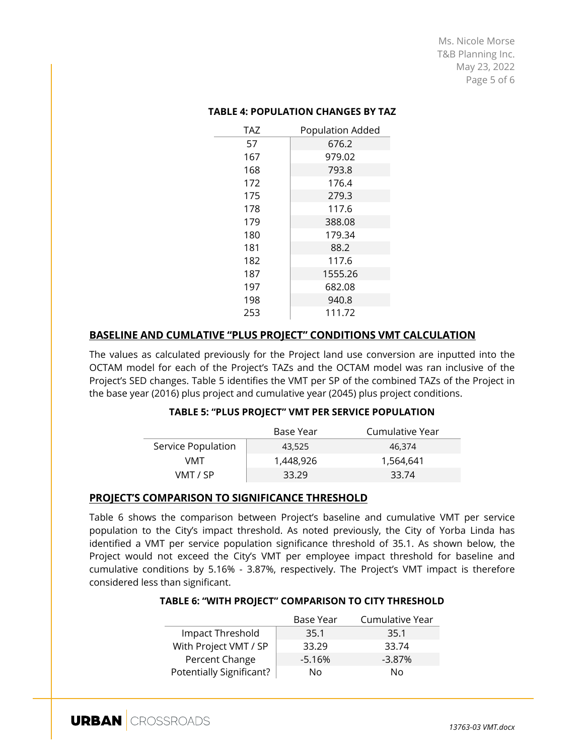Ms. Nicole Morse T&B Planning Inc. May 23, 2022 Page 5 of 6

| <b>TAZ</b> | <b>Population Added</b> |  |  |  |
|------------|-------------------------|--|--|--|
| 57         | 676.2                   |  |  |  |
| 167        | 979.02                  |  |  |  |
| 168        | 793.8                   |  |  |  |
| 172        | 176.4                   |  |  |  |
| 175        | 279.3                   |  |  |  |
| 178        | 117.6                   |  |  |  |
| 179        | 388.08                  |  |  |  |
| 180        | 179.34                  |  |  |  |
| 181        | 88.2                    |  |  |  |
| 182        | 117.6                   |  |  |  |
| 187        | 1555.26                 |  |  |  |
| 197        | 682.08                  |  |  |  |
| 198        | 940.8                   |  |  |  |
| 253        | 111.72                  |  |  |  |

#### **TABLE 4: POPULATION CHANGES BY TAZ**

#### **BASELINE AND CUMLATIVE "PLUS PROJECT" CONDITIONS VMT CALCULATION**

The values as calculated previously for the Project land use conversion are inputted into the OCTAM model for each of the Project's TAZs and the OCTAM model was ran inclusive of the Project's SED changes. Table 5 identifies the VMT per SP of the combined TAZs of the Project in the base year (2016) plus project and cumulative year (2045) plus project conditions.

#### **TABLE 5: "PLUS PROJECT" VMT PER SERVICE POPULATION**

|                    | Base Year | Cumulative Year |
|--------------------|-----------|-----------------|
| Service Population | 43.525    | 46.374          |
| VMT                | 1,448,926 | 1,564,641       |
| VMT / SP           | 33.29     | 33.74           |

#### **PROJECT'S COMPARISON TO SIGNIFICANCE THRESHOLD**

Table 6 shows the comparison between Project's baseline and cumulative VMT per service population to the City's impact threshold. As noted previously, the City of Yorba Linda has identified a VMT per service population significance threshold of 35.1. As shown below, the Project would not exceed the City's VMT per employee impact threshold for baseline and cumulative conditions by 5.16% - 3.87%, respectively. The Project's VMT impact is therefore considered less than significant.

#### **TABLE 6: "WITH PROJECT" COMPARISON TO CITY THRESHOLD**

|                          | <b>Base Year</b> | Cumulative Year |
|--------------------------|------------------|-----------------|
| Impact Threshold         | 35.1             | 35.1            |
| With Project VMT / SP    | 33.29            | 33.74           |
| Percent Change           | $-5.16%$         | $-3.87\%$       |
| Potentially Significant? | No               | Nο              |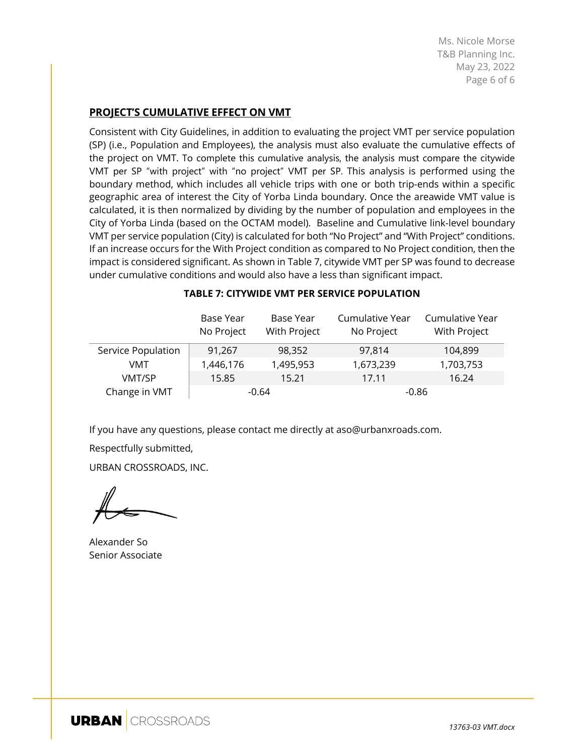Ms. Nicole Morse T&B Planning Inc. May 23, 2022 Page 6 of 6

#### **PROJECT'S CUMULATIVE EFFECT ON VMT**

Consistent with City Guidelines, in addition to evaluating the project VMT per service population (SP) (i.e., Population and Employees), the analysis must also evaluate the cumulative effects of the project on VMT. To complete this cumulative analysis, the analysis must compare the citywide VMT per SP "with project" with "no project" VMT per SP. This analysis is performed using the boundary method, which includes all vehicle trips with one or both trip-ends within a specific geographic area of interest the City of Yorba Linda boundary. Once the areawide VMT value is calculated, it is then normalized by dividing by the number of population and employees in the City of Yorba Linda (based on the OCTAM model). Baseline and Cumulative link-level boundary VMT per service population (City) is calculated for both "No Project" and "With Project" conditions. If an increase occurs for the With Project condition as compared to No Project condition, then the impact is considered significant. As shown in Table 7, citywide VMT per SP was found to decrease under cumulative conditions and would also have a less than significant impact.

|                    | Base Year<br>No Project | Base Year<br>With Project | Cumulative Year<br>No Project | Cumulative Year<br>With Project |
|--------------------|-------------------------|---------------------------|-------------------------------|---------------------------------|
| Service Population | 91,267                  | 98,352                    | 97,814                        | 104,899                         |
| VMT                | 1,446,176               | 1,495,953                 | 1,673,239                     | 1,703,753                       |
| VMT/SP             | 15.85                   | 15.21                     | 17.11                         | 16.24                           |
| Change in VMT      | $-0.64$                 |                           | $-0.86$                       |                                 |

#### **TABLE 7: CITYWIDE VMT PER SERVICE POPULATION**

If you have any questions, please contact me directly at aso@urbanxroads.com.

Respectfully submitted,

URBAN CROSSROADS, INC.

Alexander So Senior Associate